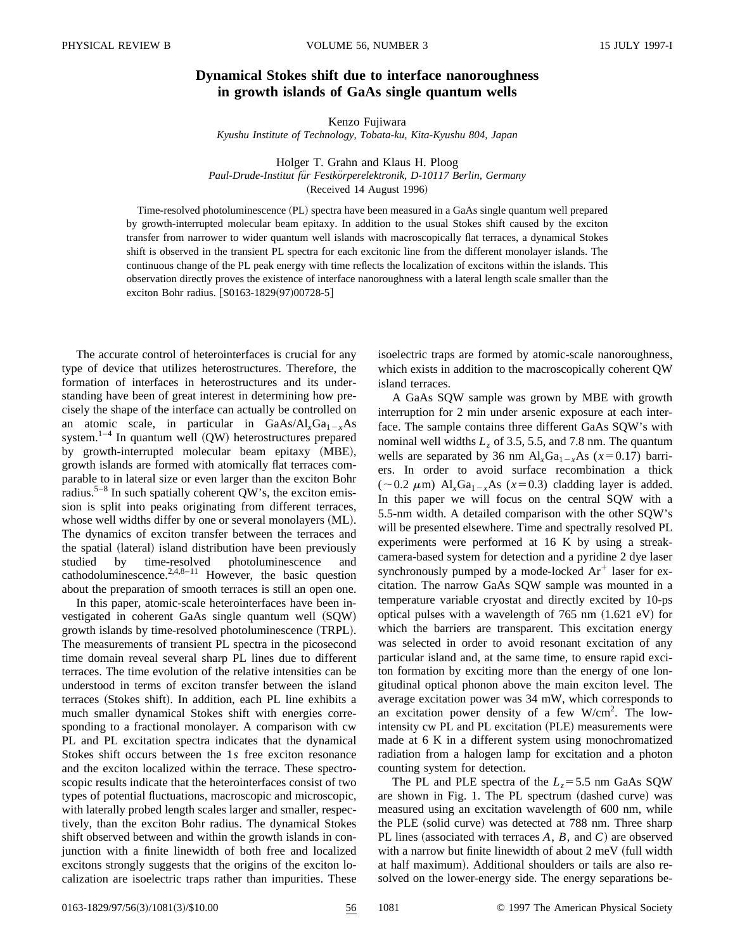## **Dynamical Stokes shift due to interface nanoroughness in growth islands of GaAs single quantum wells**

Kenzo Fujiwara

*Kyushu Institute of Technology, Tobata-ku, Kita-Kyushu 804, Japan*

Holger T. Grahn and Klaus H. Ploog *Paul-Drude-Institut fu¨r Festko¨rperelektronik, D-10117 Berlin, Germany* (Received 14 August 1996)

Time-resolved photoluminescence (PL) spectra have been measured in a GaAs single quantum well prepared by growth-interrupted molecular beam epitaxy. In addition to the usual Stokes shift caused by the exciton transfer from narrower to wider quantum well islands with macroscopically flat terraces, a dynamical Stokes shift is observed in the transient PL spectra for each excitonic line from the different monolayer islands. The continuous change of the PL peak energy with time reflects the localization of excitons within the islands. This observation directly proves the existence of interface nanoroughness with a lateral length scale smaller than the exciton Bohr radius. [S0163-1829(97)00728-5]

The accurate control of heterointerfaces is crucial for any type of device that utilizes heterostructures. Therefore, the formation of interfaces in heterostructures and its understanding have been of great interest in determining how precisely the shape of the interface can actually be controlled on an atomic scale, in particular in  $GaAs/Al<sub>x</sub>Ga<sub>1-x</sub>As$ system. $1-4$  In quantum well  $(QW)$  heterostructures prepared by growth-interrupted molecular beam epitaxy (MBE), growth islands are formed with atomically flat terraces comparable to in lateral size or even larger than the exciton Bohr radius.<sup>5–8</sup> In such spatially coherent QW's, the exciton emission is split into peaks originating from different terraces, whose well widths differ by one or several monolayers (ML). The dynamics of exciton transfer between the terraces and the spatial (lateral) island distribution have been previously studied by time-resolved photoluminescence and cathodoluminescence. $2,4,8-11$  However, the basic question about the preparation of smooth terraces is still an open one.

In this paper, atomic-scale heterointerfaces have been investigated in coherent GaAs single quantum well  $(SQW)$ growth islands by time-resolved photoluminescence (TRPL). The measurements of transient PL spectra in the picosecond time domain reveal several sharp PL lines due to different terraces. The time evolution of the relative intensities can be understood in terms of exciton transfer between the island terraces (Stokes shift). In addition, each PL line exhibits a much smaller dynamical Stokes shift with energies corresponding to a fractional monolayer. A comparison with cw PL and PL excitation spectra indicates that the dynamical Stokes shift occurs between the 1*s* free exciton resonance and the exciton localized within the terrace. These spectroscopic results indicate that the heterointerfaces consist of two types of potential fluctuations, macroscopic and microscopic, with laterally probed length scales larger and smaller, respectively, than the exciton Bohr radius. The dynamical Stokes shift observed between and within the growth islands in conjunction with a finite linewidth of both free and localized excitons strongly suggests that the origins of the exciton localization are isoelectric traps rather than impurities. These isoelectric traps are formed by atomic-scale nanoroughness, which exists in addition to the macroscopically coherent QW island terraces.

A GaAs SQW sample was grown by MBE with growth interruption for 2 min under arsenic exposure at each interface. The sample contains three different GaAs SQW's with nominal well widths  $L_z$  of 3.5, 5.5, and 7.8 nm. The quantum wells are separated by 36 nm  $Al_xGa_{1-x}As$  ( $x=0.17$ ) barriers. In order to avoid surface recombination a thick  $(\sim 0.2 \mu m)$  Al<sub>x</sub>Ga<sub>1-x</sub>As ( $x=0.3$ ) cladding layer is added. In this paper we will focus on the central SQW with a 5.5-nm width. A detailed comparison with the other SQW's will be presented elsewhere. Time and spectrally resolved PL experiments were performed at 16 K by using a streakcamera-based system for detection and a pyridine 2 dye laser synchronously pumped by a mode-locked  $Ar^+$  laser for excitation. The narrow GaAs SQW sample was mounted in a temperature variable cryostat and directly excited by 10-ps optical pulses with a wavelength of  $765$  nm  $(1.621 \text{ eV})$  for which the barriers are transparent. This excitation energy was selected in order to avoid resonant excitation of any particular island and, at the same time, to ensure rapid exciton formation by exciting more than the energy of one longitudinal optical phonon above the main exciton level. The average excitation power was 34 mW, which corresponds to an excitation power density of a few W/cm<sup>2</sup>. The lowintensity cw PL and PL excitation (PLE) measurements were made at 6 K in a different system using monochromatized radiation from a halogen lamp for excitation and a photon counting system for detection.

The PL and PLE spectra of the  $L<sub>z</sub>=5.5$  nm GaAs SQW are shown in Fig. 1. The PL spectrum (dashed curve) was measured using an excitation wavelength of 600 nm, while the PLE (solid curve) was detected at 788 nm. Three sharp PL lines (associated with terraces  $A$ ,  $B$ , and  $C$ ) are observed with a narrow but finite linewidth of about 2 meV (full width at half maximum). Additional shoulders or tails are also resolved on the lower-energy side. The energy separations be-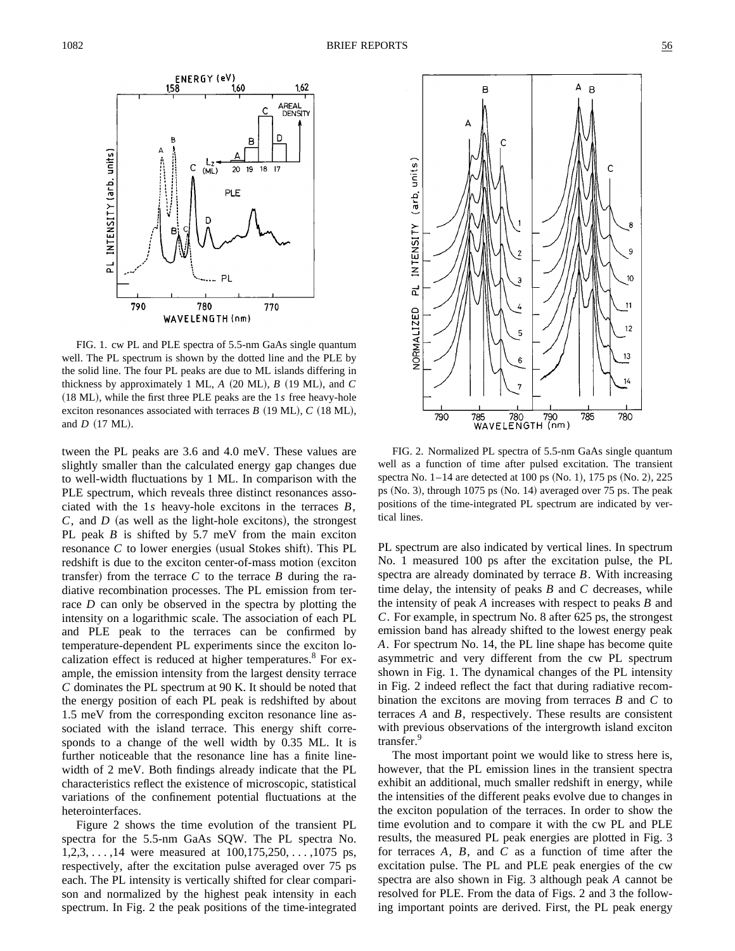

FIG. 1. cw PL and PLE spectra of 5.5-nm GaAs single quantum well. The PL spectrum is shown by the dotted line and the PLE by the solid line. The four PL peaks are due to ML islands differing in thickness by approximately 1 ML,  $A$  (20 ML),  $B$  (19 ML), and  $C$ (18 ML), while the first three PLE peaks are the 1*s* free heavy-hole exciton resonances associated with terraces  $B$  (19 ML),  $C$  (18 ML), and  $D$   $(17 \text{ ML})$ .

tween the PL peaks are 3.6 and 4.0 meV. These values are slightly smaller than the calculated energy gap changes due to well-width fluctuations by 1 ML. In comparison with the PLE spectrum, which reveals three distinct resonances associated with the 1*s* heavy-hole excitons in the terraces *B*,  $C$ , and  $D$  (as well as the light-hole excitons), the strongest PL peak *B* is shifted by 5.7 meV from the main exciton resonance  $C$  to lower energies (usual Stokes shift). This PL redshift is due to the exciton center-of-mass motion (exciton transfer) from the terrace  $C$  to the terrace  $B$  during the radiative recombination processes. The PL emission from terrace *D* can only be observed in the spectra by plotting the intensity on a logarithmic scale. The association of each PL and PLE peak to the terraces can be confirmed by temperature-dependent PL experiments since the exciton localization effect is reduced at higher temperatures.<sup>8</sup> For example, the emission intensity from the largest density terrace *C* dominates the PL spectrum at 90 K. It should be noted that the energy position of each PL peak is redshifted by about 1.5 meV from the corresponding exciton resonance line associated with the island terrace. This energy shift corresponds to a change of the well width by 0.35 ML. It is further noticeable that the resonance line has a finite linewidth of 2 meV. Both findings already indicate that the PL characteristics reflect the existence of microscopic, statistical variations of the confinement potential fluctuations at the heterointerfaces.

Figure 2 shows the time evolution of the transient PL spectra for the 5.5-nm GaAs SQW. The PL spectra No. 1,2,3, . . . ,14 were measured at 100,175,250,... ,1075 ps, respectively, after the excitation pulse averaged over 75 ps each. The PL intensity is vertically shifted for clear comparison and normalized by the highest peak intensity in each spectrum. In Fig. 2 the peak positions of the time-integrated



FIG. 2. Normalized PL spectra of 5.5-nm GaAs single quantum well as a function of time after pulsed excitation. The transient spectra No.  $1-14$  are detected at 100 ps (No. 1), 175 ps (No. 2), 225 ps  $(No. 3)$ , through 1075 ps  $(No. 14)$  averaged over 75 ps. The peak positions of the time-integrated PL spectrum are indicated by vertical lines.

PL spectrum are also indicated by vertical lines. In spectrum No. 1 measured 100 ps after the excitation pulse, the PL spectra are already dominated by terrace *B*. With increasing time delay, the intensity of peaks *B* and *C* decreases, while the intensity of peak *A* increases with respect to peaks *B* and *C*. For example, in spectrum No. 8 after 625 ps, the strongest emission band has already shifted to the lowest energy peak *A*. For spectrum No. 14, the PL line shape has become quite asymmetric and very different from the cw PL spectrum shown in Fig. 1. The dynamical changes of the PL intensity in Fig. 2 indeed reflect the fact that during radiative recombination the excitons are moving from terraces *B* and *C* to terraces *A* and *B*, respectively. These results are consistent with previous observations of the intergrowth island exciton transfer.<sup>9</sup>

The most important point we would like to stress here is, however, that the PL emission lines in the transient spectra exhibit an additional, much smaller redshift in energy, while the intensities of the different peaks evolve due to changes in the exciton population of the terraces. In order to show the time evolution and to compare it with the cw PL and PLE results, the measured PL peak energies are plotted in Fig. 3 for terraces *A*, *B*, and *C* as a function of time after the excitation pulse. The PL and PLE peak energies of the cw spectra are also shown in Fig. 3 although peak *A* cannot be resolved for PLE. From the data of Figs. 2 and 3 the following important points are derived. First, the PL peak energy